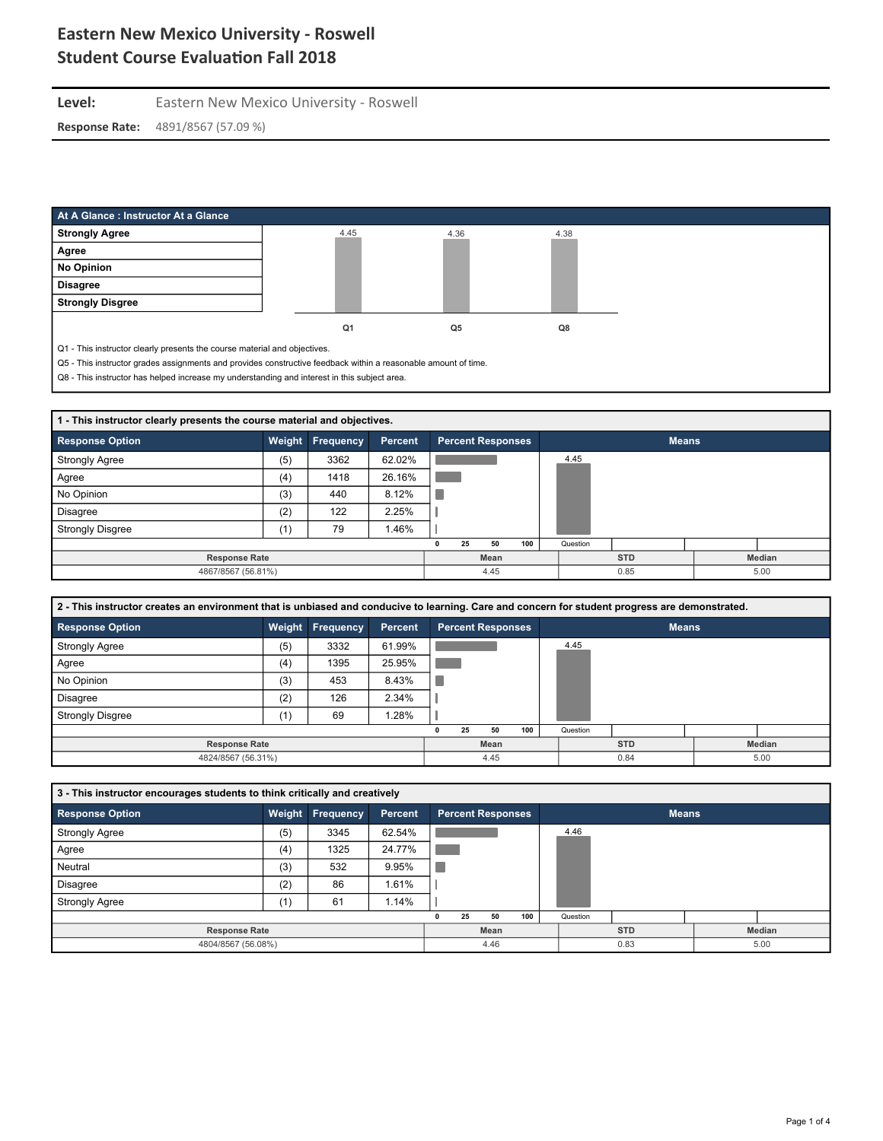#### Level: Eastern New Mexico University - Roswell **Response Rate:** 4891/8567 (57.09 %)

| At A Glance: Instructor At a Glance                                                                                                                                                                                           |                |      |      |
|-------------------------------------------------------------------------------------------------------------------------------------------------------------------------------------------------------------------------------|----------------|------|------|
| <b>Strongly Agree</b>                                                                                                                                                                                                         | 4.45           | 4.36 | 4.38 |
| Agree                                                                                                                                                                                                                         |                |      |      |
| No Opinion                                                                                                                                                                                                                    |                |      |      |
| <b>Disagree</b>                                                                                                                                                                                                               |                |      |      |
| <b>Strongly Disgree</b>                                                                                                                                                                                                       |                |      |      |
|                                                                                                                                                                                                                               | Q <sub>1</sub> | Q5   | Q8   |
| Q1 - This instructor clearly presents the course material and objectives.                                                                                                                                                     |                |      |      |
| Q5 - This instructor grades assignments and provides constructive feedback within a reasonable amount of time.                                                                                                                |                |      |      |
| . A series and the series of the series of the series of the series of the series of the series of the series of the series of the series of the series of the series of the series of the series of the series of the series |                |      |      |

Q8 - This instructor has helped increase my understanding and interest in this subject area.

| 1 - This instructor clearly presents the course material and objectives. |        |           |         |      |  |                          |  |            |      |               |      |  |
|--------------------------------------------------------------------------|--------|-----------|---------|------|--|--------------------------|--|------------|------|---------------|------|--|
| <b>Response Option</b>                                                   | Weight | Frequency | Percent |      |  | <b>Percent Responses</b> |  |            |      | <b>Means</b>  |      |  |
| <b>Strongly Agree</b>                                                    | (5)    | 3362      | 62.02%  |      |  |                          |  |            | 4.45 |               |      |  |
| Agree                                                                    | (4)    | 1418      | 26.16%  |      |  |                          |  |            |      |               |      |  |
| No Opinion                                                               | (3)    | 440       | 8.12%   |      |  |                          |  |            |      |               |      |  |
| <b>Disagree</b>                                                          | (2)    | 122       | 2.25%   |      |  |                          |  |            |      |               |      |  |
| <b>Strongly Disgree</b>                                                  | (1)    | 79        | 1.46%   |      |  |                          |  |            |      |               |      |  |
|                                                                          |        |           |         |      |  |                          |  |            |      |               |      |  |
| <b>Response Rate</b>                                                     |        |           |         | Mean |  |                          |  | <b>STD</b> |      | <b>Median</b> |      |  |
| 4867/8567 (56.81%)<br>4.45                                               |        |           |         |      |  |                          |  |            | 0.85 |               | 5.00 |  |

| 2 - This instructor creates an environment that is unbiased and conducive to learning. Care and concern for student progress are demonstrated. |     |                  |         |                          |                      |  |  |  |  |  |  |  |
|------------------------------------------------------------------------------------------------------------------------------------------------|-----|------------------|---------|--------------------------|----------------------|--|--|--|--|--|--|--|
| <b>Response Option</b>                                                                                                                         |     | Weight Frequency | Percent | <b>Percent Responses</b> | <b>Means</b>         |  |  |  |  |  |  |  |
| <b>Strongly Agree</b>                                                                                                                          | (5) | 3332             | 61.99%  |                          | 4.45                 |  |  |  |  |  |  |  |
| Agree                                                                                                                                          | (4) | 1395             | 25.95%  |                          |                      |  |  |  |  |  |  |  |
| No Opinion                                                                                                                                     | (3) | 453              | 8.43%   |                          |                      |  |  |  |  |  |  |  |
| <b>Disagree</b>                                                                                                                                | (2) | 126              | 2.34%   |                          |                      |  |  |  |  |  |  |  |
| <b>Strongly Disgree</b>                                                                                                                        | (1) | 69               | 1.28%   |                          |                      |  |  |  |  |  |  |  |
|                                                                                                                                                |     |                  |         | 100<br>25<br>50          | Question             |  |  |  |  |  |  |  |
| <b>Response Rate</b>                                                                                                                           |     |                  |         | Mean                     | <b>STD</b><br>Median |  |  |  |  |  |  |  |
| 4824/8567 (56.31%)                                                                                                                             |     |                  |         | 0.84<br>4.45<br>5.00     |                      |  |  |  |  |  |  |  |

| 3 - This instructor encourages students to think critically and creatively |     |                      |                |  |    |                          |     |  |          |              |        |  |  |
|----------------------------------------------------------------------------|-----|----------------------|----------------|--|----|--------------------------|-----|--|----------|--------------|--------|--|--|
| <b>Response Option</b>                                                     |     | Weight Frequency     | <b>Percent</b> |  |    | <b>Percent Responses</b> |     |  |          | <b>Means</b> |        |  |  |
| <b>Strongly Agree</b>                                                      | (5) | 3345                 | 62.54%         |  |    |                          |     |  | 4.46     |              |        |  |  |
| Agree                                                                      | (4) | 1325                 | 24.77%         |  |    |                          |     |  |          |              |        |  |  |
| Neutral                                                                    | (3) | 532                  | 9.95%          |  |    |                          |     |  |          |              |        |  |  |
| <b>Disagree</b>                                                            | (2) | 86                   | 1.61%          |  |    |                          |     |  |          |              |        |  |  |
| <b>Strongly Agree</b>                                                      | (1) | 61                   | 1.14%          |  |    |                          |     |  |          |              |        |  |  |
|                                                                            |     |                      |                |  | 25 | 50                       | 100 |  | Question |              |        |  |  |
| <b>Response Rate</b>                                                       |     |                      |                |  |    | Mean                     |     |  |          | <b>STD</b>   | Median |  |  |
| 4804/8567 (56.08%)                                                         |     | 4.46<br>0.83<br>5.00 |                |  |    |                          |     |  |          |              |        |  |  |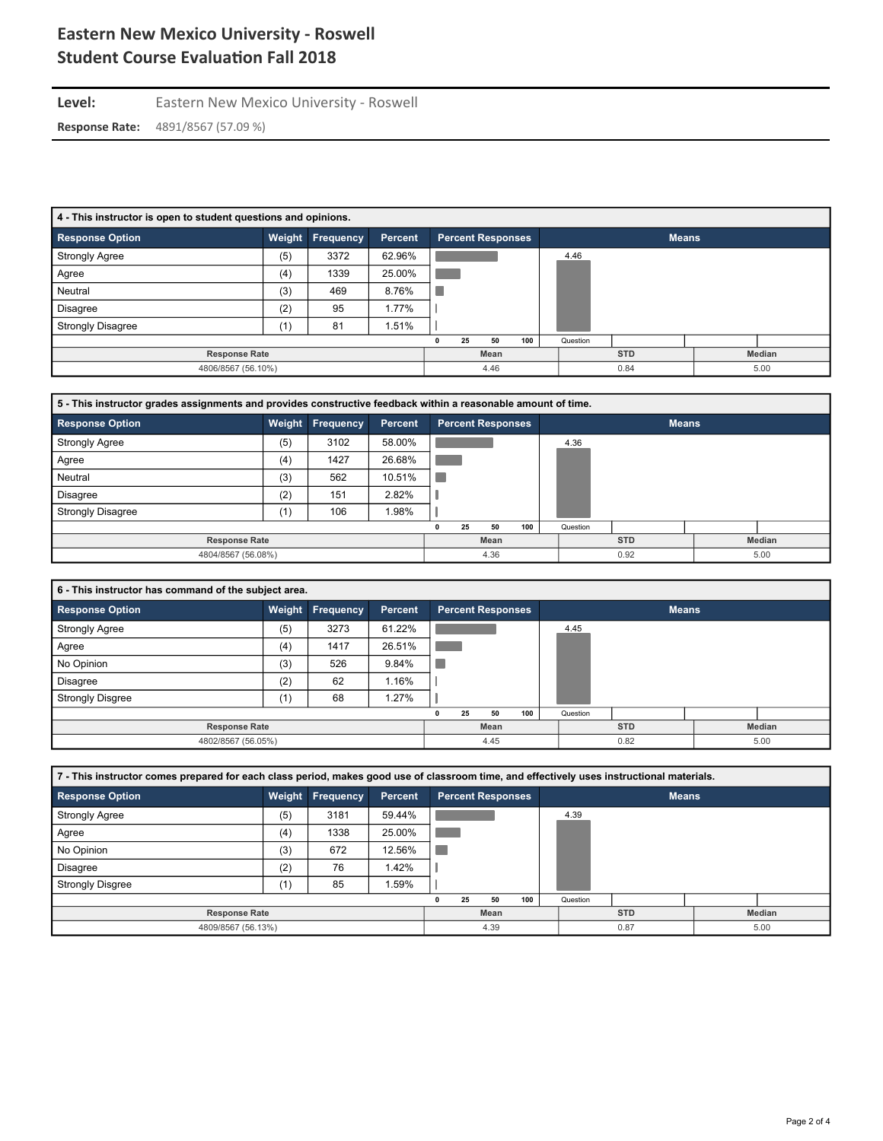Level: Eastern New Mexico University - Roswell **Response Rate:** 4891/8567 (57.09 %)

| 4 - This instructor is open to student questions and opinions. |        |                  |         |      |                      |                          |          |            |      |              |  |  |
|----------------------------------------------------------------|--------|------------------|---------|------|----------------------|--------------------------|----------|------------|------|--------------|--|--|
| <b>Response Option</b>                                         | Weight | <b>Frequency</b> | Percent |      |                      | <b>Percent Responses</b> |          |            |      | <b>Means</b> |  |  |
| <b>Strongly Agree</b>                                          | (5)    | 3372             | 62.96%  |      |                      |                          |          |            | 4.46 |              |  |  |
| Agree                                                          | (4)    | 1339             | 25.00%  |      |                      |                          |          |            |      |              |  |  |
| Neutral                                                        | (3)    | 469              | 8.76%   |      |                      |                          |          |            |      |              |  |  |
| Disagree                                                       | (2)    | 95               | 1.77%   |      |                      |                          |          |            |      |              |  |  |
| <b>Strongly Disagree</b>                                       | (1)    | 81               | 1.51%   |      |                      |                          |          |            |      |              |  |  |
|                                                                |        | 0                | 25      | 50   | 100                  |                          | Question |            |      |              |  |  |
| <b>Response Rate</b>                                           |        |                  |         | Mean |                      |                          |          | <b>STD</b> |      | Median       |  |  |
| 4806/8567 (56.10%)                                             |        |                  |         |      | 4.46<br>0.84<br>5.00 |                          |          |            |      |              |  |  |

| 5 - This instructor grades assignments and provides constructive feedback within a reasonable amount of time. |        |                  |                |  |    |                          |     |  |          |              |  |               |
|---------------------------------------------------------------------------------------------------------------|--------|------------------|----------------|--|----|--------------------------|-----|--|----------|--------------|--|---------------|
| <b>Response Option</b>                                                                                        | Weight | <b>Frequency</b> | <b>Percent</b> |  |    | <b>Percent Responses</b> |     |  |          | <b>Means</b> |  |               |
| <b>Strongly Agree</b>                                                                                         | (5)    | 3102             | 58.00%         |  |    |                          |     |  | 4.36     |              |  |               |
| Agree                                                                                                         | (4)    | 1427             | 26.68%         |  |    |                          |     |  |          |              |  |               |
| Neutral                                                                                                       | (3)    | 562              | 10.51%         |  |    |                          |     |  |          |              |  |               |
| Disagree                                                                                                      | (2)    | 151              | 2.82%          |  |    |                          |     |  |          |              |  |               |
| <b>Strongly Disagree</b>                                                                                      | (1)    | 106              | .98%           |  |    |                          |     |  |          |              |  |               |
|                                                                                                               |        |                  |                |  | 25 | 50                       | 100 |  | Question |              |  |               |
| <b>Response Rate</b>                                                                                          |        |                  |                |  |    | Mean                     |     |  |          | <b>STD</b>   |  | <b>Median</b> |
| 4804/8567 (56.08%)                                                                                            |        |                  |                |  |    | 4.36                     |     |  |          | 0.92         |  | 5.00          |

| 6 - This instructor has command of the subject area. |     |                  |         |  |    |                          |     |  |          |              |  |        |  |
|------------------------------------------------------|-----|------------------|---------|--|----|--------------------------|-----|--|----------|--------------|--|--------|--|
| <b>Response Option</b>                               |     | Weight Frequency | Percent |  |    | <b>Percent Responses</b> |     |  |          | <b>Means</b> |  |        |  |
| <b>Strongly Agree</b>                                | (5) | 3273             | 61.22%  |  |    |                          |     |  | 4.45     |              |  |        |  |
| Agree                                                | (4) | 1417             | 26.51%  |  |    |                          |     |  |          |              |  |        |  |
| No Opinion                                           | (3) | 526              | 9.84%   |  |    |                          |     |  |          |              |  |        |  |
| <b>Disagree</b>                                      | (2) | 62               | 1.16%   |  |    |                          |     |  |          |              |  |        |  |
| <b>Strongly Disgree</b>                              | (1) | 68               | 1.27%   |  |    |                          |     |  |          |              |  |        |  |
|                                                      |     |                  |         |  | 25 | 50                       | 100 |  | Question |              |  |        |  |
| <b>Response Rate</b>                                 |     |                  |         |  |    | Mean                     |     |  |          | <b>STD</b>   |  | Median |  |
| 4802/8567 (56.05%)                                   |     |                  |         |  |    | 4.45                     |     |  |          | 0.82         |  | 5.00   |  |

| 7 - This instructor comes prepared for each class period, makes good use of classroom time, and effectively uses instructional materials. |                      |                  |         |  |    |                          |     |  |          |              |        |      |  |
|-------------------------------------------------------------------------------------------------------------------------------------------|----------------------|------------------|---------|--|----|--------------------------|-----|--|----------|--------------|--------|------|--|
| <b>Response Option</b>                                                                                                                    |                      | Weight Frequency | Percent |  |    | <b>Percent Responses</b> |     |  |          | <b>Means</b> |        |      |  |
| <b>Strongly Agree</b>                                                                                                                     | (5)                  | 3181             | 59.44%  |  |    |                          |     |  | 4.39     |              |        |      |  |
| Agree                                                                                                                                     | (4)                  | 1338             | 25.00%  |  |    |                          |     |  |          |              |        |      |  |
| No Opinion                                                                                                                                | (3)                  | 672              | 12.56%  |  |    |                          |     |  |          |              |        |      |  |
| Disagree                                                                                                                                  | (2)                  | 76               | 1.42%   |  |    |                          |     |  |          |              |        |      |  |
| <b>Strongly Disgree</b>                                                                                                                   | (1)                  | 85               | .59%    |  |    |                          |     |  |          |              |        |      |  |
|                                                                                                                                           |                      |                  |         |  | 25 | 50                       | 100 |  | Question |              |        |      |  |
|                                                                                                                                           | <b>Response Rate</b> |                  |         |  |    | Mean                     |     |  |          | <b>STD</b>   | Median |      |  |
| 4809/8567 (56.13%)                                                                                                                        |                      |                  |         |  |    | 4.39                     |     |  |          | 0.87         |        | 5.00 |  |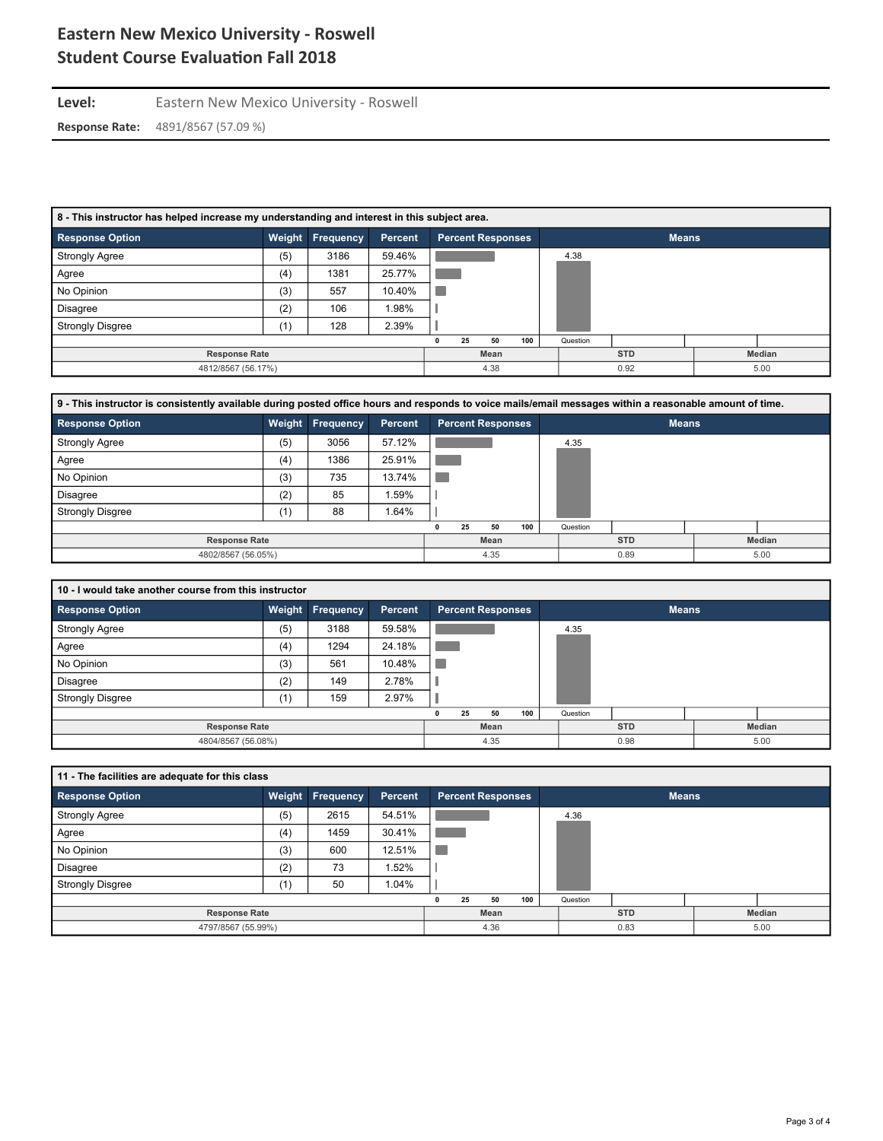Level: Eastern New Mexico University - Roswell **Response Rate:** 4891/8567 (57.09 %)

| 8 - This instructor has helped increase my understanding and interest in this subject area. |        |           |                |  |                      |                          |     |            |          |              |  |  |
|---------------------------------------------------------------------------------------------|--------|-----------|----------------|--|----------------------|--------------------------|-----|------------|----------|--------------|--|--|
| <b>Response Option</b>                                                                      | Weight | Frequency | <b>Percent</b> |  |                      | <b>Percent Responses</b> |     |            |          | <b>Means</b> |  |  |
| <b>Strongly Agree</b>                                                                       | (5)    | 3186      | 59.46%         |  |                      |                          |     |            | 4.38     |              |  |  |
| Agree                                                                                       | (4)    | 1381      | 25.77%         |  |                      |                          |     |            |          |              |  |  |
| No Opinion                                                                                  | (3)    | 557       | 10.40%         |  |                      |                          |     |            |          |              |  |  |
| <b>Disagree</b>                                                                             | (2)    | 106       | 1.98%          |  |                      |                          |     |            |          |              |  |  |
| <b>Strongly Disgree</b>                                                                     | (1)    | 128       | 2.39%          |  |                      |                          |     |            |          |              |  |  |
|                                                                                             |        |           |                |  | 25                   | 50                       | 100 |            | Question |              |  |  |
| <b>Response Rate</b>                                                                        |        | Mean      |                |  |                      |                          |     | <b>STD</b> |          | Median       |  |  |
| 4812/8567 (56.17%)                                                                          |        |           |                |  | 0.92<br>5.00<br>4.38 |                          |     |            |          |              |  |  |

| 9 - This instructor is consistently available during posted office hours and responds to voice mails/email messages within a reasonable amount of time. |     |                         |         |  |                      |    |                          |            |          |               |  |  |
|---------------------------------------------------------------------------------------------------------------------------------------------------------|-----|-------------------------|---------|--|----------------------|----|--------------------------|------------|----------|---------------|--|--|
| <b>Response Option</b>                                                                                                                                  |     | <b>Weight Frequency</b> | Percent |  |                      |    | <b>Percent Responses</b> |            |          | <b>Means</b>  |  |  |
| <b>Strongly Agree</b>                                                                                                                                   | (5) | 3056                    | 57.12%  |  |                      |    |                          |            | 4.35     |               |  |  |
| Agree                                                                                                                                                   | (4) | 1386                    | 25.91%  |  |                      |    |                          |            |          |               |  |  |
| No Opinion                                                                                                                                              | (3) | 735                     | 13.74%  |  |                      |    |                          |            |          |               |  |  |
| Disagree                                                                                                                                                | (2) | 85                      | .59%    |  |                      |    |                          |            |          |               |  |  |
| <b>Strongly Disgree</b>                                                                                                                                 | (1) | 88                      | .64%    |  |                      |    |                          |            |          |               |  |  |
|                                                                                                                                                         |     |                         |         |  | 25                   | 50 | 100                      |            | Question |               |  |  |
| <b>Response Rate</b>                                                                                                                                    |     | Mean                    |         |  |                      |    |                          | <b>STD</b> |          | <b>Median</b> |  |  |
| 4802/8567 (56.05%)                                                                                                                                      |     |                         |         |  | 4.35<br>0.89<br>5.00 |    |                          |            |          |               |  |  |

| 10 - I would take another course from this instructor |     |                  |         |      |    |                          |     |            |          |              |  |  |  |
|-------------------------------------------------------|-----|------------------|---------|------|----|--------------------------|-----|------------|----------|--------------|--|--|--|
| <b>Response Option</b>                                |     | Weight Frequency | Percent |      |    | <b>Percent Responses</b> |     |            |          | <b>Means</b> |  |  |  |
| <b>Strongly Agree</b>                                 | (5) | 3188             | 59.58%  |      |    |                          |     |            | 4.35     |              |  |  |  |
| Agree                                                 | (4) | 1294             | 24.18%  |      |    |                          |     |            |          |              |  |  |  |
| No Opinion                                            | (3) | 561              | 10.48%  | T.   |    |                          |     |            |          |              |  |  |  |
| <b>Disagree</b>                                       | (2) | 149              | 2.78%   |      |    |                          |     |            |          |              |  |  |  |
| <b>Strongly Disgree</b>                               | (1) | 159              | 2.97%   |      |    |                          |     |            |          |              |  |  |  |
|                                                       |     |                  |         |      | 25 | 50                       | 100 |            | Question |              |  |  |  |
| <b>Response Rate</b>                                  |     |                  |         | Mean |    |                          |     | <b>STD</b> |          | Median       |  |  |  |
| 4804/8567 (56.08%)                                    |     |                  |         | 4.35 |    |                          |     | 0.98       |          | 5.00         |  |  |  |

| 11 - The facilities are adequate for this class |     |                  |         |                      |    |                          |     |  |          |              |  |        |  |
|-------------------------------------------------|-----|------------------|---------|----------------------|----|--------------------------|-----|--|----------|--------------|--|--------|--|
| <b>Response Option</b>                          |     | Weight Frequency | Percent |                      |    | <b>Percent Responses</b> |     |  |          | <b>Means</b> |  |        |  |
| <b>Strongly Agree</b>                           | (5) | 2615             | 54.51%  |                      |    |                          |     |  | 4.36     |              |  |        |  |
| Agree                                           | (4) | 1459             | 30.41%  |                      |    |                          |     |  |          |              |  |        |  |
| No Opinion                                      | (3) | 600              | 12.51%  |                      |    |                          |     |  |          |              |  |        |  |
| <b>Disagree</b>                                 | (2) | 73               | 1.52%   |                      |    |                          |     |  |          |              |  |        |  |
| <b>Strongly Disgree</b>                         | (1) | 50               | 1.04%   |                      |    |                          |     |  |          |              |  |        |  |
|                                                 |     |                  |         |                      | 25 | 50                       | 100 |  | Question |              |  |        |  |
| <b>Response Rate</b>                            |     |                  |         |                      |    | Mean                     |     |  |          | <b>STD</b>   |  | Median |  |
| 4797/8567 (55.99%)                              |     |                  |         | 0.83<br>4.36<br>5.00 |    |                          |     |  |          |              |  |        |  |